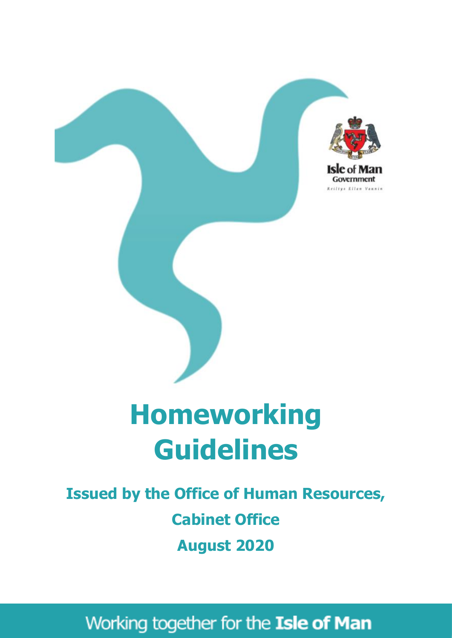

# **Homeworking Guidelines**

# **Issued by the Office of Human Resources, Cabinet Office August 2020**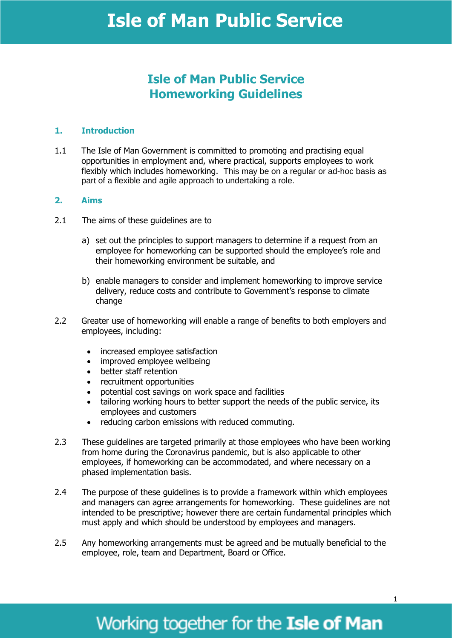### **Isle of Man Public Service Homeworking Guidelines**

#### **1. Introduction**

1.1 The Isle of Man Government is committed to promoting and practising equal opportunities in employment and, where practical, supports employees to work flexibly which includes homeworking. This may be on a regular or ad-hoc basis as part of a flexible and agile approach to undertaking a role.

#### **2. Aims**

- 2.1 The aims of these quidelines are to
	- a) set out the principles to support managers to determine if a request from an employee for homeworking can be supported should the employee's role and their homeworking environment be suitable, and
	- b) enable managers to consider and implement homeworking to improve service delivery, reduce costs and contribute to Government's response to climate change
- 2.2 Greater use of homeworking will enable a range of benefits to both employers and employees, including:
	- increased employee satisfaction
	- improved employee wellbeing
	- better staff retention
	- recruitment opportunities
	- potential cost savings on work space and facilities
	- tailoring working hours to better support the needs of the public service, its employees and customers
	- reducing carbon emissions with reduced commuting.
- 2.3 These guidelines are targeted primarily at those employees who have been working from home during the Coronavirus pandemic, but is also applicable to other employees, if homeworking can be accommodated, and where necessary on a phased implementation basis.
- 2.4 The purpose of these guidelines is to provide a framework within which employees and managers can agree arrangements for homeworking. These guidelines are not intended to be prescriptive; however there are certain fundamental principles which must apply and which should be understood by employees and managers.
- 2.5 Any homeworking arrangements must be agreed and be mutually beneficial to the employee, role, team and Department, Board or Office.

# Working together for the Isle of Man

1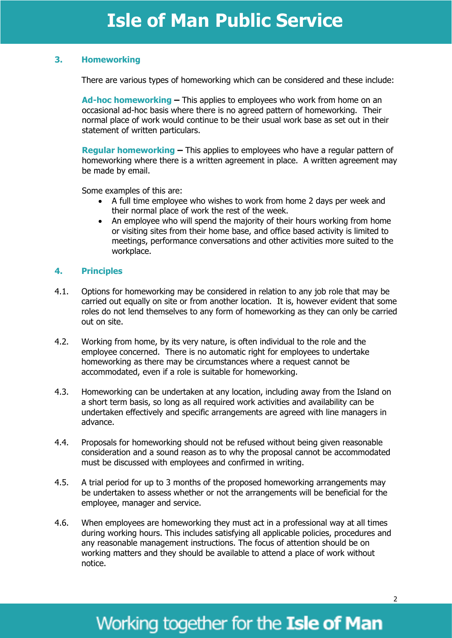#### **3. Homeworking**

There are various types of homeworking which can be considered and these include:

**Ad-hoc homeworking –** This applies to employees who work from home on an occasional ad-hoc basis where there is no agreed pattern of homeworking. Their normal place of work would continue to be their usual work base as set out in their statement of written particulars.

**Regular homeworking –** This applies to employees who have a regular pattern of homeworking where there is a written agreement in place. A written agreement may be made by email.

Some examples of this are:

- A full time employee who wishes to work from home 2 days per week and their normal place of work the rest of the week.
- An employee who will spend the majority of their hours working from home or visiting sites from their home base, and office based activity is limited to meetings, performance conversations and other activities more suited to the workplace.

#### **4. Principles**

- 4.1. Options for homeworking may be considered in relation to any job role that may be carried out equally on site or from another location. It is, however evident that some roles do not lend themselves to any form of homeworking as they can only be carried out on site.
- 4.2. Working from home, by its very nature, is often individual to the role and the employee concerned. There is no automatic right for employees to undertake homeworking as there may be circumstances where a request cannot be accommodated, even if a role is suitable for homeworking.
- 4.3. Homeworking can be undertaken at any location, including away from the Island on a short term basis, so long as all required work activities and availability can be undertaken effectively and specific arrangements are agreed with line managers in advance.
- 4.4. Proposals for homeworking should not be refused without being given reasonable consideration and a sound reason as to why the proposal cannot be accommodated must be discussed with employees and confirmed in writing.
- 4.5. A trial period for up to 3 months of the proposed homeworking arrangements may be undertaken to assess whether or not the arrangements will be beneficial for the employee, manager and service.
- 4.6. When employees are homeworking they must act in a professional way at all times during working hours. This includes satisfying all applicable policies, procedures and any reasonable management instructions. The focus of attention should be on working matters and they should be available to attend a place of work without notice.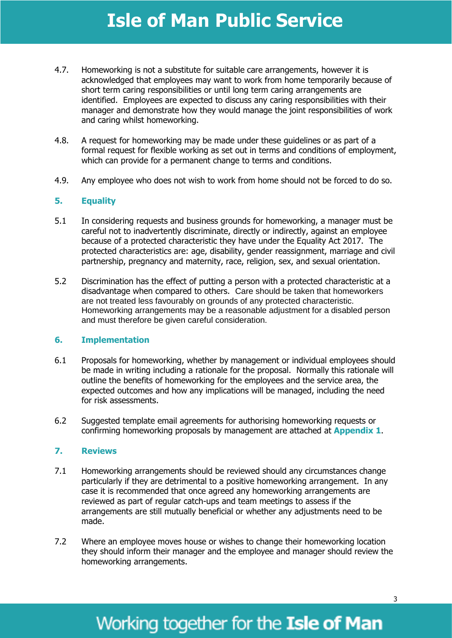- 4.7. Homeworking is not a substitute for suitable care arrangements, however it is acknowledged that employees may want to work from home temporarily because of short term caring responsibilities or until long term caring arrangements are identified. Employees are expected to discuss any caring responsibilities with their manager and demonstrate how they would manage the joint responsibilities of work and caring whilst homeworking.
- 4.8. A request for homeworking may be made under these guidelines or as part of a formal request for flexible working as set out in terms and conditions of employment, which can provide for a permanent change to terms and conditions.
- 4.9. Any employee who does not wish to work from home should not be forced to do so.

#### **5. Equality**

- 5.1 In considering requests and business grounds for homeworking, a manager must be careful not to inadvertently discriminate, directly or indirectly, against an employee because of a protected characteristic they have under the Equality Act 2017. The protected characteristics are: age, disability, gender reassignment, marriage and civil partnership, pregnancy and maternity, race, religion, sex, and sexual orientation.
- 5.2 Discrimination has the effect of putting a person with a protected characteristic at a disadvantage when compared to others. Care should be taken that homeworkers are not treated less favourably on grounds of any protected characteristic. Homeworking arrangements may be a reasonable adjustment for a disabled person and must therefore be given careful consideration.

#### **6. Implementation**

- 6.1 Proposals for homeworking, whether by management or individual employees should be made in writing including a rationale for the proposal. Normally this rationale will outline the benefits of homeworking for the employees and the service area, the expected outcomes and how any implications will be managed, including the need for risk assessments.
- 6.2 Suggested template email agreements for authorising homeworking requests or confirming homeworking proposals by management are attached at **Appendix 1**.

#### **7. Reviews**

- 7.1 Homeworking arrangements should be reviewed should any circumstances change particularly if they are detrimental to a positive homeworking arrangement. In any case it is recommended that once agreed any homeworking arrangements are reviewed as part of regular catch-ups and team meetings to assess if the arrangements are still mutually beneficial or whether any adjustments need to be made.
- 7.2 Where an employee moves house or wishes to change their homeworking location they should inform their manager and the employee and manager should review the homeworking arrangements.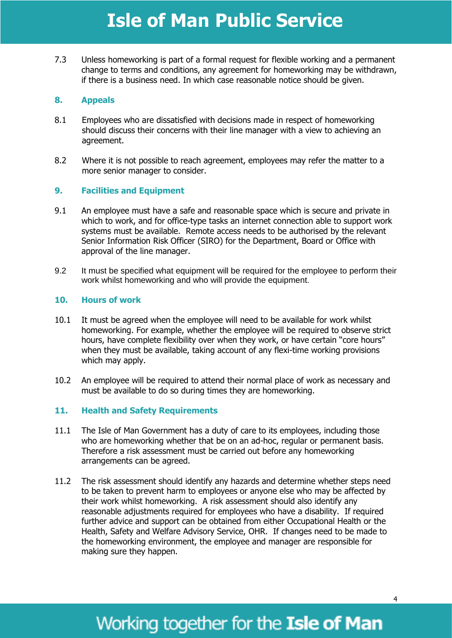7.3 Unless homeworking is part of a formal request for flexible working and a permanent change to terms and conditions, any agreement for homeworking may be withdrawn, if there is a business need. In which case reasonable notice should be given.

#### **8. Appeals**

- 8.1 Employees who are dissatisfied with decisions made in respect of homeworking should discuss their concerns with their line manager with a view to achieving an agreement.
- 8.2 Where it is not possible to reach agreement, employees may refer the matter to a more senior manager to consider.

#### **9. Facilities and Equipment**

- 9.1 An employee must have a safe and reasonable space which is secure and private in which to work, and for office-type tasks an internet connection able to support work systems must be available. Remote access needs to be authorised by the relevant Senior Information Risk Officer (SIRO) for the Department, Board or Office with approval of the line manager.
- 9.2 It must be specified what equipment will be required for the employee to perform their work whilst homeworking and who will provide the equipment.

#### **10. Hours of work**

- 10.1 It must be agreed when the employee will need to be available for work whilst homeworking. For example, whether the employee will be required to observe strict hours, have complete flexibility over when they work, or have certain "core hours" when they must be available, taking account of any flexi-time working provisions which may apply.
- 10.2 An employee will be required to attend their normal place of work as necessary and must be available to do so during times they are homeworking.

#### **11. Health and Safety Requirements**

- 11.1 The Isle of Man Government has a duty of care to its employees, including those who are homeworking whether that be on an ad-hoc, regular or permanent basis. Therefore a risk assessment must be carried out before any homeworking arrangements can be agreed.
- 11.2 The risk assessment should identify any hazards and determine whether steps need to be taken to prevent harm to employees or anyone else who may be affected by their work whilst homeworking. A risk assessment should also identify any reasonable adjustments required for employees who have a disability. If required further advice and support can be obtained from either Occupational Health or the Health, Safety and Welfare Advisory Service, OHR. If changes need to be made to the homeworking environment, the employee and manager are responsible for making sure they happen.

### Working together for the Isle of Man

4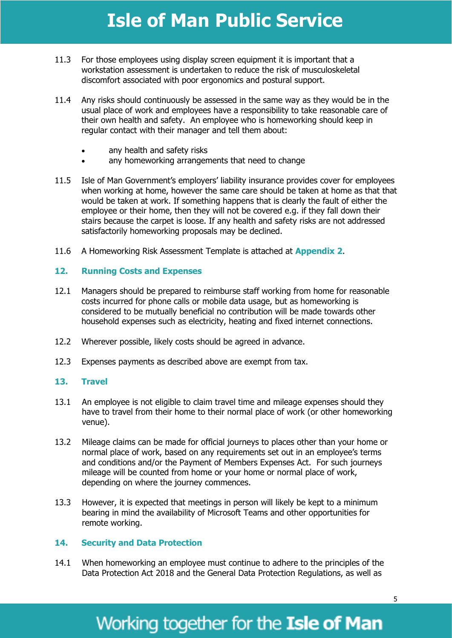- 11.3 For those employees using display screen equipment it is important that a workstation assessment is undertaken to reduce the risk of musculoskeletal discomfort associated with poor ergonomics and postural support.
- 11.4 Any risks should continuously be assessed in the same way as they would be in the usual place of work and employees have a responsibility to take reasonable care of their own health and safety. An employee who is homeworking should keep in regular contact with their manager and tell them about:
	- any health and safety risks
	- any homeworking arrangements that need to change
- 11.5 Isle of Man Government's employers' liability insurance provides cover for employees when working at home, however the same care should be taken at home as that that would be taken at work. If something happens that is clearly the fault of either the employee or their home, then they will not be covered e.g. if they fall down their stairs because the carpet is loose. If any health and safety risks are not addressed satisfactorily homeworking proposals may be declined.
- 11.6 A Homeworking Risk Assessment Template is attached at **Appendix 2**.

#### **12. Running Costs and Expenses**

- 12.1 Managers should be prepared to reimburse staff working from home for reasonable costs incurred for phone calls or mobile data usage, but as homeworking is considered to be mutually beneficial no contribution will be made towards other household expenses such as electricity, heating and fixed internet connections.
- 12.2 Wherever possible, likely costs should be agreed in advance.
- 12.3 Expenses payments as described above are exempt from tax.

#### **13. Travel**

- 13.1 An employee is not eligible to claim travel time and mileage expenses should they have to travel from their home to their normal place of work (or other homeworking venue).
- 13.2 Mileage claims can be made for official journeys to places other than your home or normal place of work, based on any requirements set out in an employee's terms and conditions and/or the Payment of Members Expenses Act. For such journeys mileage will be counted from home or your home or normal place of work, depending on where the journey commences.
- 13.3 However, it is expected that meetings in person will likely be kept to a minimum bearing in mind the availability of Microsoft Teams and other opportunities for remote working.

#### **14. Security and Data Protection**

14.1 When homeworking an employee must continue to adhere to the principles of the Data Protection Act 2018 and the General Data Protection Regulations, as well as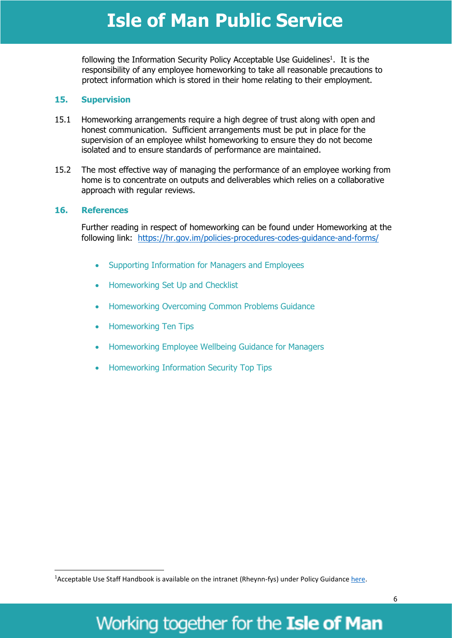following the Information Security Policy Acceptable Use Guidelines<sup>1</sup>. It is the responsibility of any employee homeworking to take all reasonable precautions to protect information which is stored in their home relating to their employment.

#### **15. Supervision**

- 15.1 Homeworking arrangements require a high degree of trust along with open and honest communication. Sufficient arrangements must be put in place for the supervision of an employee whilst homeworking to ensure they do not become isolated and to ensure standards of performance are maintained.
- 15.2 The most effective way of managing the performance of an employee working from home is to concentrate on outputs and deliverables which relies on a collaborative approach with regular reviews.

#### **16. References**

**.** 

Further reading in respect of homeworking can be found under Homeworking at the following link: <https://hr.gov.im/policies-procedures-codes-guidance-and-forms/>

- Supporting Information for Managers and Employees
- Homeworking Set Up and Checklist
- Homeworking Overcoming Common Problems Guidance
- Homeworking Ten Tips
- Homeworking Employee Wellbeing Guidance for Managers
- Homeworking Information Security Top Tips

6

<sup>&</sup>lt;sup>1</sup> Acceptable Use Staff Handbook is available on the intranet (Rheynn-fys) under Policy Guidance [here.](http://edrmgi/sites/OCSIA/Guidance/Forms/AllItems.aspx)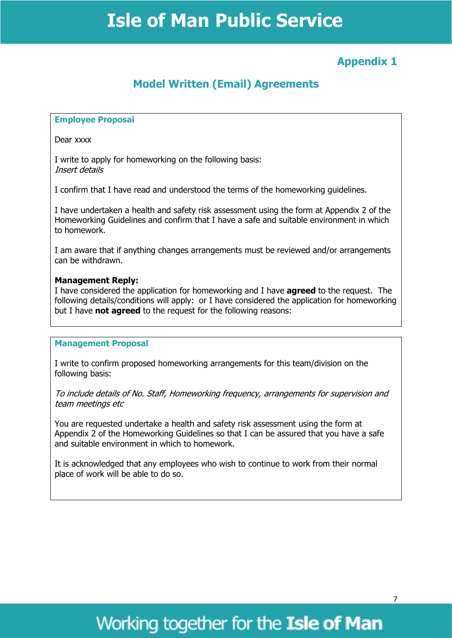### **Appendix 1**

### **Model Written (Email) Agreements**

#### **Employee Proposal**

Dear xxxx

I write to apply for homeworking on the following basis: Insert details

I confirm that I have read and understood the terms of the homeworking guidelines.

I have undertaken a health and safety risk assessment using the form at Appendix 2 of the Homeworking Guidelines and confirm that I have a safe and suitable environment in which to homework.

I am aware that if anything changes arrangements must be reviewed and/or arrangements can be withdrawn.

#### **Management Reply:**

I have considered the application for homeworking and I have **agreed** to the request. The following details/conditions will apply: or I have considered the application for homeworking but I have **not agreed** to the request for the following reasons:

#### **Management Proposal**

I write to confirm proposed homeworking arrangements for this team/division on the following basis:

To include details of No. Staff, Homeworking frequency, arrangements for supervision and team meetings etc

You are requested undertake a health and safety risk assessment using the form at Appendix 2 of the Homeworking Guidelines so that I can be assured that you have a safe and suitable environment in which to homework.

It is acknowledged that any employees who wish to continue to work from their normal place of work will be able to do so.

### Working together for the Isle of Man

7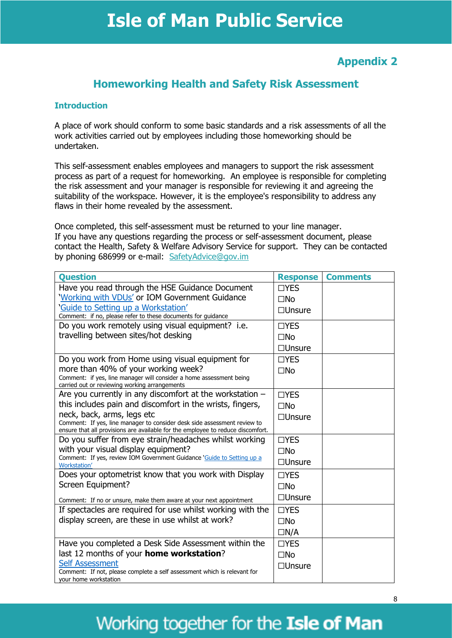### **Appendix 2**

### **Homeworking Health and Safety Risk Assessment**

#### **Introduction**

A place of work should conform to some basic standards and a risk assessments of all the work activities carried out by employees including those homeworking should be undertaken.

This self-assessment enables employees and managers to support the risk assessment process as part of a request for homeworking. An employee is responsible for completing the risk assessment and your manager is responsible for reviewing it and agreeing the suitability of the workspace. However, it is the employee's responsibility to address any flaws in their home revealed by the assessment.

Once completed, this self-assessment must be returned to your line manager. If you have any questions regarding the process or self-assessment document, please contact the Health, Safety & Welfare Advisory Service for support. They can be contacted by phoning 686999 or e-mail: [SafetyAdvice@gov.im](mailto:SafetyAdvice@gov.im) 

| <b>Ouestion</b>                                                                                                                                             | <b>Response</b> | <b>Comments</b> |
|-------------------------------------------------------------------------------------------------------------------------------------------------------------|-----------------|-----------------|
| Have you read through the HSE Guidance Document                                                                                                             | $\Box$ YES      |                 |
| 'Working with VDUs' or IOM Government Guidance                                                                                                              | $\square$ No    |                 |
| 'Guide to Setting up a Workstation'                                                                                                                         | $\Box$ Unsure   |                 |
| Comment: if no, please refer to these documents for guidance<br>Do you work remotely using visual equipment? i.e.                                           | $\Box$ YES      |                 |
| travelling between sites/hot desking                                                                                                                        |                 |                 |
|                                                                                                                                                             | $\square$ No    |                 |
|                                                                                                                                                             | $\Box$ Unsure   |                 |
| Do you work from Home using visual equipment for                                                                                                            | $\Box$ YES      |                 |
| more than 40% of your working week?<br>Comment: if yes, line manager will consider a home assessment being<br>carried out or reviewing working arrangements | $\square$ No    |                 |
| Are you currently in any discomfort at the workstation $-$                                                                                                  | $\Box$ YES      |                 |
| this includes pain and discomfort in the wrists, fingers,                                                                                                   | $\Box$ No       |                 |
| neck, back, arms, legs etc                                                                                                                                  | $\Box$ Unsure   |                 |
| Comment: If yes, line manager to consider desk side assessment review to<br>ensure that all provisions are available for the employee to reduce discomfort. |                 |                 |
| Do you suffer from eye strain/headaches whilst working                                                                                                      | $\Box$ YES      |                 |
| with your visual display equipment?                                                                                                                         | $\square$ No    |                 |
| Comment: If yes, review IOM Government Guidance 'Guide to Setting up a<br>Workstation'                                                                      | $\Box$ Unsure   |                 |
| Does your optometrist know that you work with Display                                                                                                       | $\Box$ YES      |                 |
| Screen Equipment?                                                                                                                                           | $\square$ No    |                 |
| Comment: If no or unsure, make them aware at your next appointment                                                                                          | $\Box$ Unsure   |                 |
| If spectacles are required for use whilst working with the                                                                                                  | $\Box$ YES      |                 |
| display screen, are these in use whilst at work?                                                                                                            | $\square$ No    |                 |
|                                                                                                                                                             | $\Box N/A$      |                 |
| Have you completed a Desk Side Assessment within the                                                                                                        | $\Box$ YES      |                 |
| last 12 months of your home workstation?                                                                                                                    | $\square$ No    |                 |
| <b>Self Assessment</b>                                                                                                                                      | $\Box$ Unsure   |                 |
| Comment: If not, please complete a self assessment which is relevant for<br>your home workstation                                                           |                 |                 |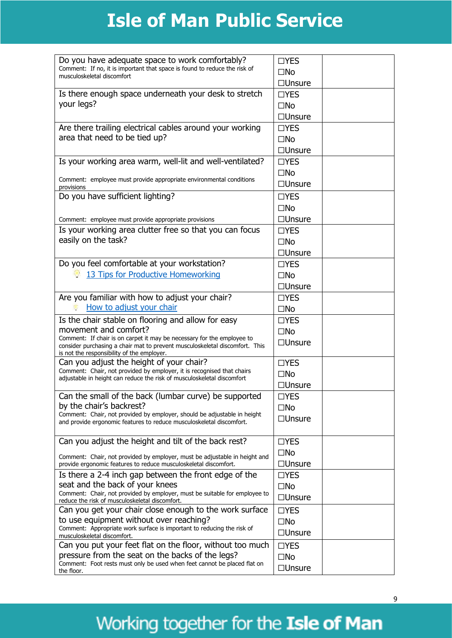| Do you have adequate space to work comfortably?<br>Comment: If no, it is important that space is found to reduce the risk of<br>musculoskeletal discomfort                                                                                                                         | $\Box$ YES<br>$\square$ No                                   |
|------------------------------------------------------------------------------------------------------------------------------------------------------------------------------------------------------------------------------------------------------------------------------------|--------------------------------------------------------------|
| Is there enough space underneath your desk to stretch<br>your legs?                                                                                                                                                                                                                | $\Box$ Unsure<br>$\Box$ YES<br>$\square$ No                  |
| Are there trailing electrical cables around your working<br>area that need to be tied up?                                                                                                                                                                                          | $\Box$ Unsure<br>$\Box$ YES<br>$\square$ No<br>$\Box$ Unsure |
| Is your working area warm, well-lit and well-ventilated?                                                                                                                                                                                                                           | $\Box$ YES<br>$\square$ No                                   |
| Comment: employee must provide appropriate environmental conditions<br>provisions                                                                                                                                                                                                  | $\Box$ Unsure                                                |
| Do you have sufficient lighting?                                                                                                                                                                                                                                                   | $\Box$ YES<br>$\square$ No                                   |
| Comment: employee must provide appropriate provisions                                                                                                                                                                                                                              | $\Box$ Unsure                                                |
| Is your working area clutter free so that you can focus<br>easily on the task?                                                                                                                                                                                                     | $\Box$ YES<br>$\square$ No<br>$\Box$ Unsure                  |
| Do you feel comfortable at your workstation?<br>13 Tips for Productive Homeworking<br>9                                                                                                                                                                                            | $\Box$ YES<br>$\square$ No<br>$\Box$ Unsure                  |
| Are you familiar with how to adjust your chair?<br>How to adjust your chair                                                                                                                                                                                                        | $\Box$ YES<br>$\square$ No                                   |
| Is the chair stable on flooring and allow for easy<br>movement and comfort?<br>Comment: If chair is on carpet it may be necessary for the employee to<br>consider purchasing a chair mat to prevent musculoskeletal discomfort. This<br>is not the responsibility of the employer. | $\Box$ YES<br>$\square$ No<br>$\Box$ Unsure                  |
| Can you adjust the height of your chair?<br>Comment: Chair, not provided by employer, it is recognised that chairs<br>adjustable in height can reduce the risk of musculoskeletal discomfort                                                                                       | $\Box$ YES<br>$\square$ No<br>$\Box$ Unsure                  |
| Can the small of the back (lumbar curve) be supported<br>by the chair's backrest?<br>Comment: Chair, not provided by employer, should be adjustable in height<br>and provide ergonomic features to reduce musculoskeletal discomfort.                                              | $\Box$ YES<br>$\square$ No<br>$\square$ Unsure               |
| Can you adjust the height and tilt of the back rest?<br>Comment: Chair, not provided by employer, must be adjustable in height and<br>provide ergonomic features to reduce musculoskeletal discomfort.                                                                             | $\Box$ YES<br>$\square$ No<br>$\Box$ Unsure                  |
| Is there a 2-4 inch gap between the front edge of the<br>seat and the back of your knees<br>Comment: Chair, not provided by employer, must be suitable for employee to<br>reduce the risk of musculoskeletal discomfort.                                                           | $\Box$ YES<br>$\square$ No<br>$\Box$ Unsure                  |
| Can you get your chair close enough to the work surface<br>to use equipment without over reaching?<br>Comment: Appropriate work surface is important to reducing the risk of<br>musculoskeletal discomfort.                                                                        | $\Box$ YES<br>$\square$ No<br>$\Box$ Unsure                  |
| Can you put your feet flat on the floor, without too much<br>pressure from the seat on the backs of the legs?<br>Comment: Foot rests must only be used when feet cannot be placed flat on<br>the floor.                                                                            | $\Box$ YES<br>$\square$ No<br>$\Box$ Unsure                  |